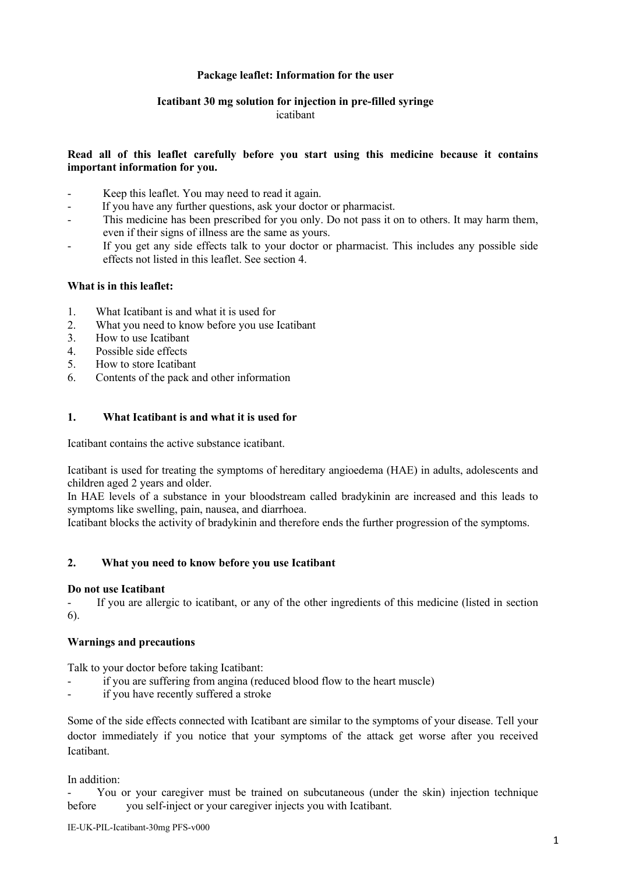# **Package leaflet: Information for the user**

# **Icatibant 30 mg solution for injection in pre-filled syringe**

# icatibant

# **Read all of this leaflet carefully before you start using this medicine because it contains important information for you.**

- Keep this leaflet. You may need to read it again.
- If you have any further questions, ask your doctor or pharmacist.
- This medicine has been prescribed for you only. Do not pass it on to others. It may harm them, even if their signs of illness are the same as yours.
- If you get any side effects talk to your doctor or pharmacist. This includes any possible side effects not listed in this leaflet. See section 4.

# **What is in this leaflet:**

- 1. What Icatibant is and what it is used for
- 2. What you need to know before you use Icatibant
- 3. How to use Icatibant
- 4. Possible side effects
- 5. How to store Icatibant
- 6. Contents of the pack and other information

# **1. What Icatibant is and what it is used for**

Icatibant contains the active substance icatibant.

Icatibant is used for treating the symptoms of hereditary angioedema (HAE) in adults, adolescents and children aged 2 years and older.

In HAE levels of a substance in your bloodstream called bradykinin are increased and this leads to symptoms like swelling, pain, nausea, and diarrhoea.

Icatibant blocks the activity of bradykinin and therefore ends the further progression of the symptoms.

# **2. What you need to know before you use Icatibant**

#### **Do not use Icatibant**

- If you are allergic to icatibant, or any of the other ingredients of this medicine (listed in section 6).

# **Warnings and precautions**

Talk to your doctor before taking Icatibant:

- if you are suffering from angina (reduced blood flow to the heart muscle)
- if you have recently suffered a stroke

Some of the side effects connected with Icatibant are similar to the symptoms of your disease. Tell your doctor immediately if you notice that your symptoms of the attack get worse after you received Icatibant.

In addition:

You or your caregiver must be trained on subcutaneous (under the skin) injection technique before you self-inject or your caregiver injects you with Icatibant.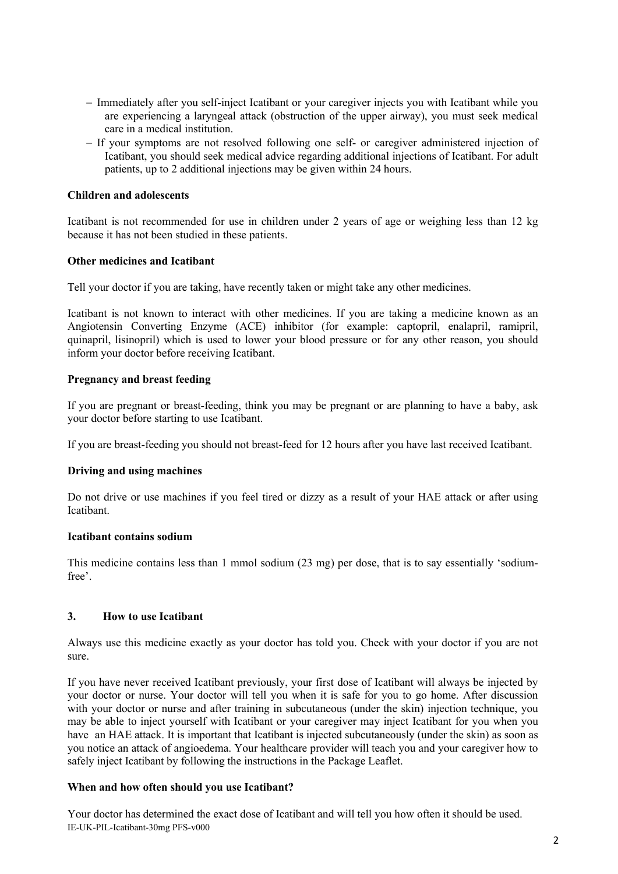- Immediately after you self-inject Icatibant or your caregiver injects you with Icatibant while you are experiencing a laryngeal attack (obstruction of the upper airway), you must seek medical care in a medical institution.
- If your symptoms are not resolved following one self- or caregiver administered injection of Icatibant, you should seek medical advice regarding additional injections of Icatibant. For adult patients, up to 2 additional injections may be given within 24 hours.

#### **Children and adolescents**

Icatibant is not recommended for use in children under 2 years of age or weighing less than 12 kg because it has not been studied in these patients.

#### **Other medicines and Icatibant**

Tell your doctor if you are taking, have recently taken or might take any other medicines.

Icatibant is not known to interact with other medicines. If you are taking a medicine known as an Angiotensin Converting Enzyme (ACE) inhibitor (for example: captopril, enalapril, ramipril, quinapril, lisinopril) which is used to lower your blood pressure or for any other reason, you should inform your doctor before receiving Icatibant.

#### **Pregnancy and breast feeding**

If you are pregnant or breast-feeding, think you may be pregnant or are planning to have a baby, ask your doctor before starting to use Icatibant.

If you are breast-feeding you should not breast-feed for 12 hours after you have last received Icatibant.

#### **Driving and using machines**

Do not drive or use machines if you feel tired or dizzy as a result of your HAE attack or after using Icatibant.

#### **Icatibant contains sodium**

This medicine contains less than 1 mmol sodium (23 mg) per dose, that is to say essentially 'sodiumfree'.

#### **3. How to use Icatibant**

Always use this medicine exactly as your doctor has told you. Check with your doctor if you are not sure.

If you have never received Icatibant previously, your first dose of Icatibant will always be injected by your doctor or nurse. Your doctor will tell you when it is safe for you to go home. After discussion with your doctor or nurse and after training in subcutaneous (under the skin) injection technique, you may be able to inject yourself with Icatibant or your caregiver may inject Icatibant for you when you have an HAE attack. It is important that Icatibant is injected subcutaneously (under the skin) as soon as you notice an attack of angioedema. Your healthcare provider will teach you and your caregiver how to safely inject Icatibant by following the instructions in the Package Leaflet.

#### **When and how often should you use Icatibant?**

IE-UK-PIL-Icatibant-30mg PFS-v000 Your doctor has determined the exact dose of Icatibant and will tell you how often it should be used.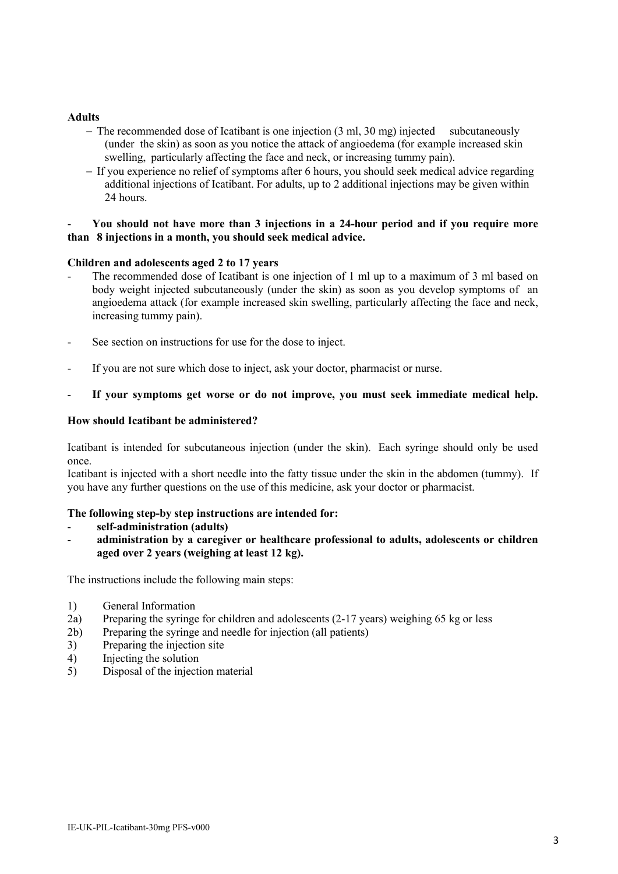#### **Adults**

- $-$  The recommended dose of Icatibant is one injection (3 ml, 30 mg) injected subcutaneously (under the skin) as soon as you notice the attack of angioedema (for example increased skin swelling, particularly affecting the face and neck, or increasing tummy pain).
- If you experience no relief of symptoms after 6 hours, you should seek medical advice regarding additional injections of Icatibant. For adults, up to 2 additional injections may be given within 24 hours.

#### - **You should not have more than 3 injections in a 24-hour period and if you require more than 8 injections in a month, you should seek medical advice.**

#### **Children and adolescents aged 2 to 17 years**

- The recommended dose of Icatibant is one injection of 1 ml up to a maximum of 3 ml based on body weight injected subcutaneously (under the skin) as soon as you develop symptoms of an angioedema attack (for example increased skin swelling, particularly affecting the face and neck, increasing tummy pain).
- See section on instructions for use for the dose to inject.
- If you are not sure which dose to inject, ask your doctor, pharmacist or nurse.
- If your symptoms get worse or do not improve, you must seek immediate medical help.

#### **How should Icatibant be administered?**

Icatibant is intended for subcutaneous injection (under the skin). Each syringe should only be used once.

Icatibant is injected with a short needle into the fatty tissue under the skin in the abdomen (tummy). If you have any further questions on the use of this medicine, ask your doctor or pharmacist.

# **The following step-by step instructions are intended for:**

- **self-administration (adults)**
- **administration by a caregiver or healthcare professional to adults, adolescents or children aged over 2 years (weighing at least 12 kg).**

The instructions include the following main steps:

- 1) General Information
- 2a) Preparing the syringe for children and adolescents (2-17 years) weighing 65 kg or less
- 2b) Preparing the syringe and needle for injection (all patients)
- 3) Preparing the injection site
- 4) Injecting the solution
- 5) Disposal of the injection material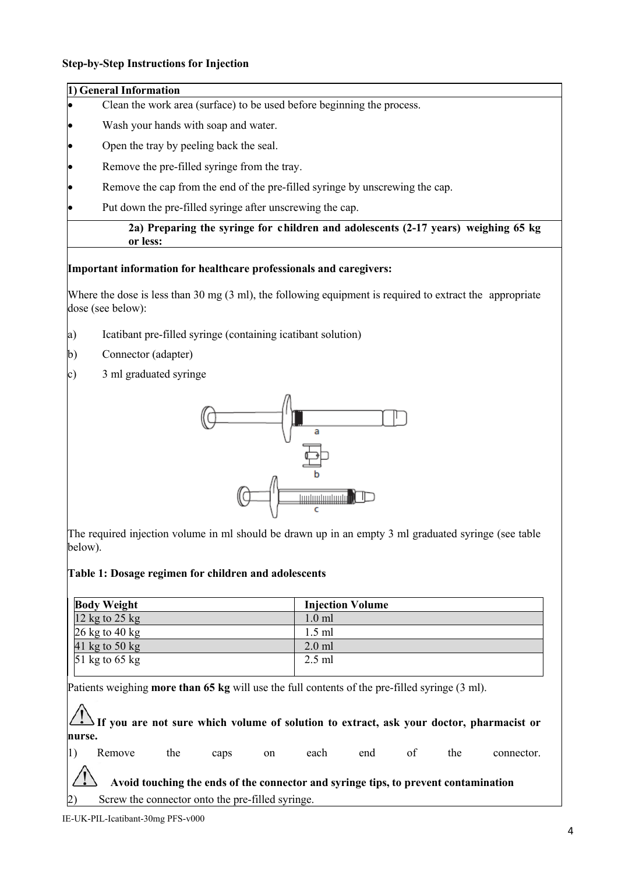#### **Step-by-Step Instructions for Injection**

# **1) General Information** Clean the work area (surface) to be used before beginning the process. Wash your hands with soap and water.

Open the tray by peeling back the seal.

Remove the pre-filled syringe from the tray.

Remove the cap from the end of the pre-filled syringe by unscrewing the cap.

Put down the pre-filled syringe after unscrewing the cap.

#### **2a) Preparing the syringe for children and adolescents (2-17 years) weighing 65 kg or less:**

#### **Important information for healthcare professionals and caregivers:**

Where the dose is less than 30 mg (3 ml), the following equipment is required to extract the appropriate dose (see below):

- a) Icatibant pre-filled syringe (containing icatibant solution)
- b) Connector (adapter)
- c) 3 ml graduated syringe



The required injection volume in ml should be drawn up in an empty 3 ml graduated syringe (see table below).

#### **Table 1: Dosage regimen for children and adolescents**

| <b>Body Weight</b>                 | <b>Injection Volume</b> |
|------------------------------------|-------------------------|
| 12 kg to $25$ kg                   | $1.0 \text{ ml}$        |
| $26 \text{ kg}$ to $40 \text{ kg}$ | $1.5$ ml                |
| 41 kg to 50 kg                     | $2.0$ ml                |
| 51 kg to 65 kg                     | $2.5$ ml                |
|                                    |                         |

Patients weighing **more than 65 kg** will use the full contents of the pre-filled syringe (3 ml).

**If you are not sure which volume of solution to extract, ask your doctor, pharmacist or nurse.** 

1) Remove the caps on each end of the connector. **Avoid touching the ends of the connector and syringe tips, to prevent contamination** Screw the connector onto the pre-filled syringe.

IE-UK-PIL-Icatibant-30mg PFS-v000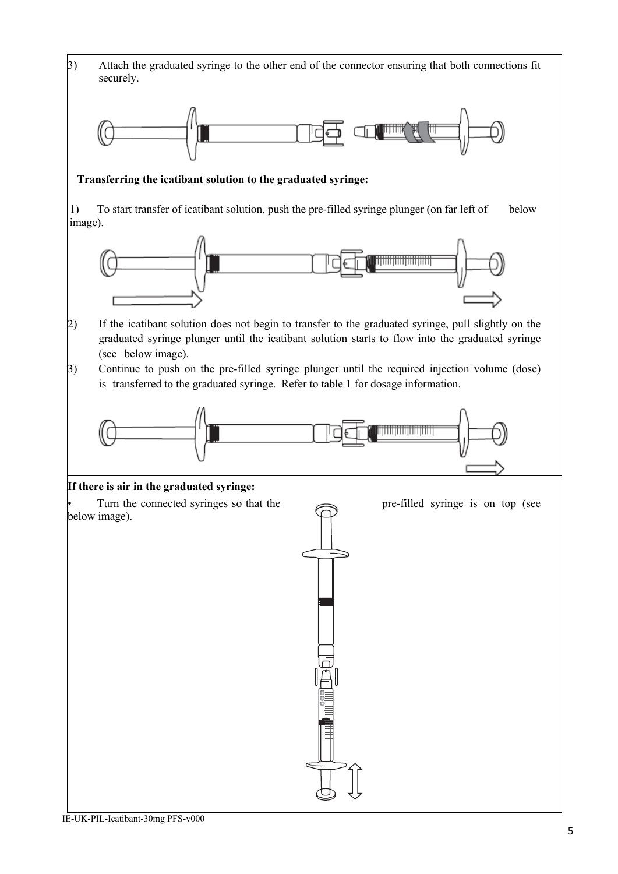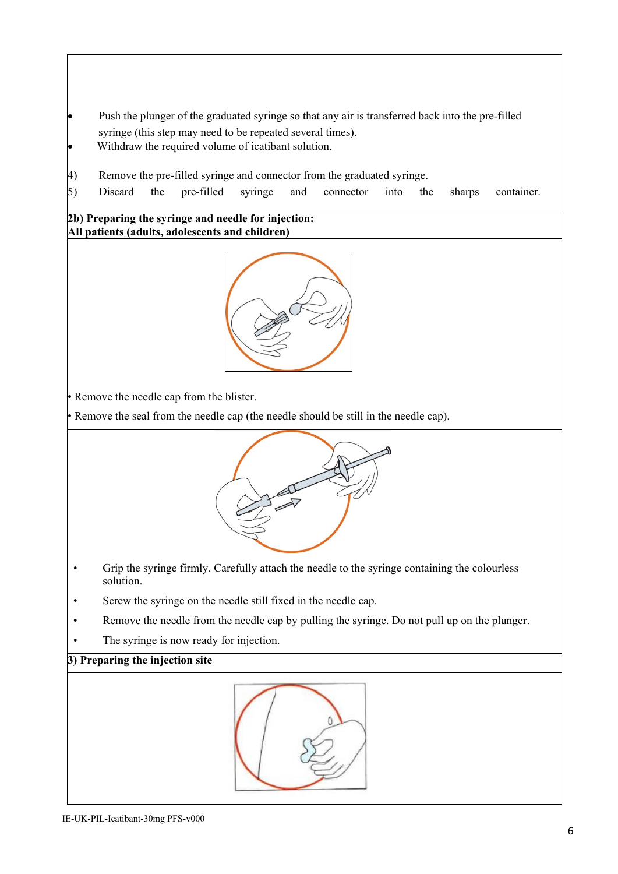- Push the plunger of the graduated syringe so that any air is transferred back into the pre-filled syringe (this step may need to be repeated several times).
- Withdraw the required volume of icatibant solution.
- 4) Remove the pre-filled syringe and connector from the graduated syringe.
- 5) Discard the pre-filled syringe and connector into the sharps container.

**2b) Preparing the syringe and needle for injection: All patients (adults, adolescents and children)**



• Remove the needle cap from the blister.

• Remove the seal from the needle cap (the needle should be still in the needle cap).



- Grip the syringe firmly. Carefully attach the needle to the syringe containing the colourless solution.
- Screw the syringe on the needle still fixed in the needle cap.
- Remove the needle from the needle cap by pulling the syringe. Do not pull up on the plunger.
- The syringe is now ready for injection.

# **3) Preparing the injection site**

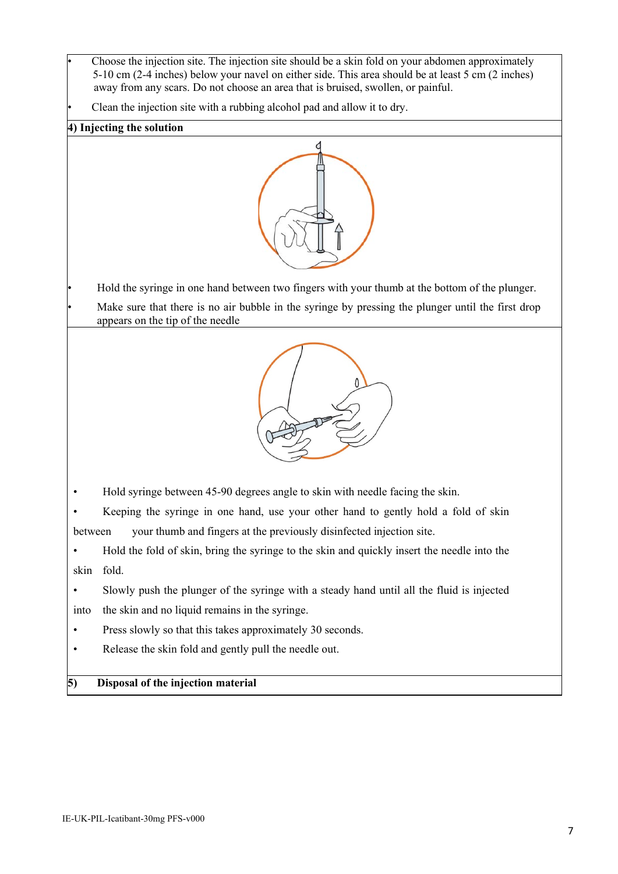• Choose the injection site. The injection site should be a skin fold on your abdomen approximately 5-10 cm (2-4 inches) below your navel on either side. This area should be at least 5 cm (2 inches) away from any scars. Do not choose an area that is bruised, swollen, or painful.

• Clean the injection site with a rubbing alcohol pad and allow it to dry.

# **4) Injecting the solution**



• Hold the syringe in one hand between two fingers with your thumb at the bottom of the plunger.

Make sure that there is no air bubble in the syringe by pressing the plunger until the first drop appears on the tip of the needle



• Hold syringe between 45-90 degrees angle to skin with needle facing the skin.

Keeping the syringe in one hand, use your other hand to gently hold a fold of skin between your thumb and fingers at the previously disinfected injection site.

• Hold the fold of skin, bring the syringe to the skin and quickly insert the needle into the skin fold.

• Slowly push the plunger of the syringe with a steady hand until all the fluid is injected into the skin and no liquid remains in the syringe.

Press slowly so that this takes approximately 30 seconds.

• Release the skin fold and gently pull the needle out.

# **5) Disposal of the injection material**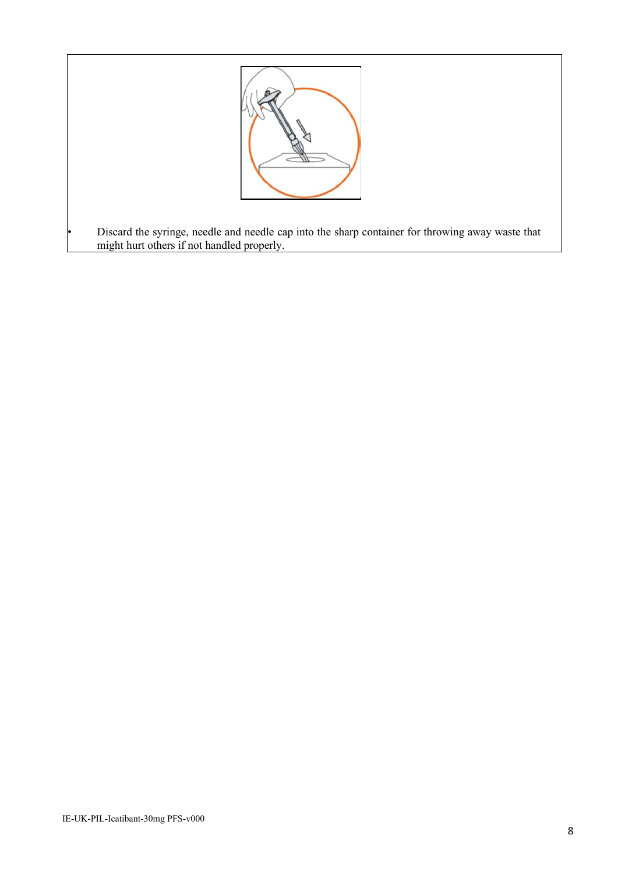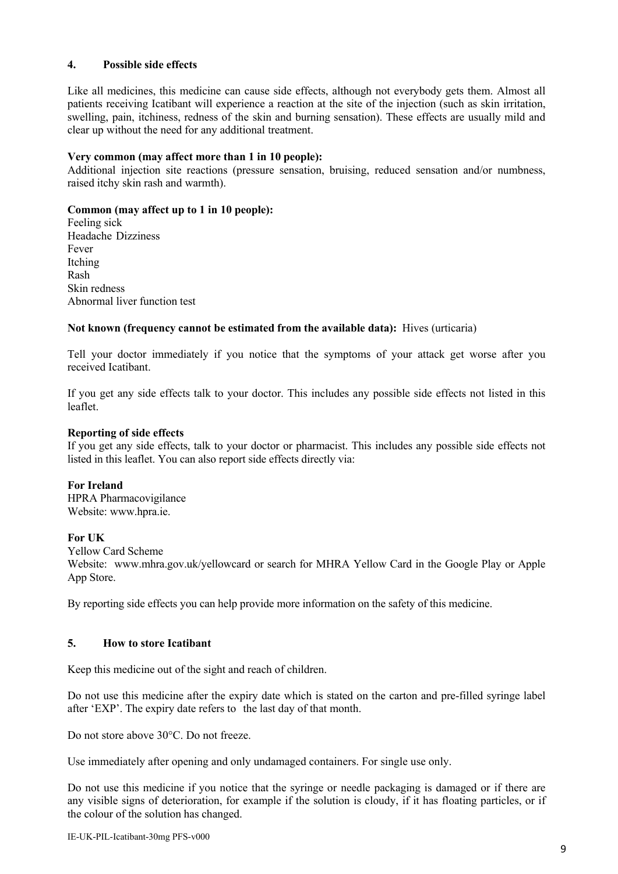# **4. Possible side effects**

Like all medicines, this medicine can cause side effects, although not everybody gets them. Almost all patients receiving Icatibant will experience a reaction at the site of the injection (such as skin irritation, swelling, pain, itchiness, redness of the skin and burning sensation). These effects are usually mild and clear up without the need for any additional treatment.

#### **Very common (may affect more than 1 in 10 people):**

Additional injection site reactions (pressure sensation, bruising, reduced sensation and/or numbness, raised itchy skin rash and warmth).

# **Common (may affect up to 1 in 10 people):**

Feeling sick Headache Dizziness Fever Itching Rash Skin redness Abnormal liver function test

# **Not known (frequency cannot be estimated from the available data):** Hives (urticaria)

Tell your doctor immediately if you notice that the symptoms of your attack get worse after you received Icatibant.

If you get any side effects talk to your doctor. This includes any possible side effects not listed in this leaflet.

# **Reporting of side effects**

If you get any side effects, talk to your doctor or pharmacist. This includes any possible side effects not listed in this leaflet. You can also report side effects directly via:

#### **For Ireland**

HPRA Pharmacovigilance Website: www.hpra.ie.

#### **For UK**

Yellow Card Scheme

Website: www.mhra.gov.uk/yellowcard or search for MHRA Yellow Card in the Google Play or Apple App Store.

By reporting side effects you can help provide more information on the safety of this medicine.

#### **5. How to store Icatibant**

Keep this medicine out of the sight and reach of children.

Do not use this medicine after the expiry date which is stated on the carton and pre-filled syringe label after 'EXP'. The expiry date refers to the last day of that month.

Do not store above 30°C. Do not freeze.

Use immediately after opening and only undamaged containers. For single use only.

Do not use this medicine if you notice that the syringe or needle packaging is damaged or if there are any visible signs of deterioration, for example if the solution is cloudy, if it has floating particles, or if the colour of the solution has changed.